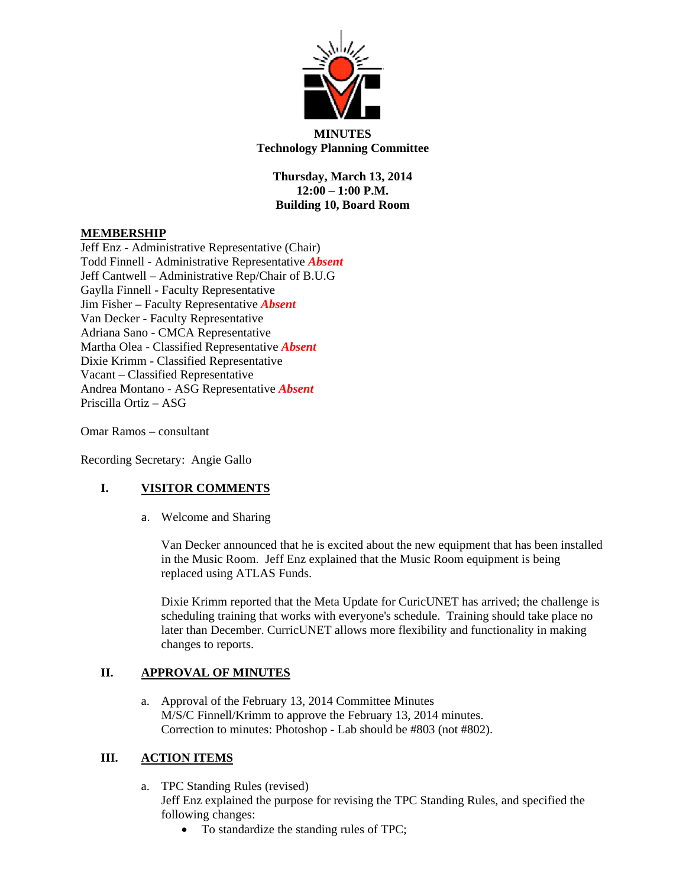

**MINUTES Technology Planning Committee** 

**Thursday, March 13, 2014 12:00 – 1:00 P.M. Building 10, Board Room** 

#### **MEMBERSHIP**

Jeff Enz - Administrative Representative (Chair) Todd Finnell - Administrative Representative *Absent* Jeff Cantwell – Administrative Rep/Chair of B.U.G Gaylla Finnell - Faculty Representative Jim Fisher – Faculty Representative *Absent* Van Decker - Faculty Representative Adriana Sano - CMCA Representative Martha Olea - Classified Representative *Absent* Dixie Krimm - Classified Representative Vacant – Classified Representative Andrea Montano - ASG Representative *Absent* Priscilla Ortiz – ASG

Omar Ramos – consultant

Recording Secretary: Angie Gallo

## **I. VISITOR COMMENTS**

a. Welcome and Sharing

Van Decker announced that he is excited about the new equipment that has been installed in the Music Room. Jeff Enz explained that the Music Room equipment is being replaced using ATLAS Funds.

Dixie Krimm reported that the Meta Update for CuricUNET has arrived; the challenge is scheduling training that works with everyone's schedule. Training should take place no later than December. CurricUNET allows more flexibility and functionality in making changes to reports.

#### **II. APPROVAL OF MINUTES**

a. Approval of the February 13, 2014 Committee Minutes M/S/C Finnell/Krimm to approve the February 13, 2014 minutes. Correction to minutes: Photoshop - Lab should be #803 (not #802).

## **III. ACTION ITEMS**

- a. TPC Standing Rules (revised) Jeff Enz explained the purpose for revising the TPC Standing Rules, and specified the following changes:
	- To standardize the standing rules of TPC;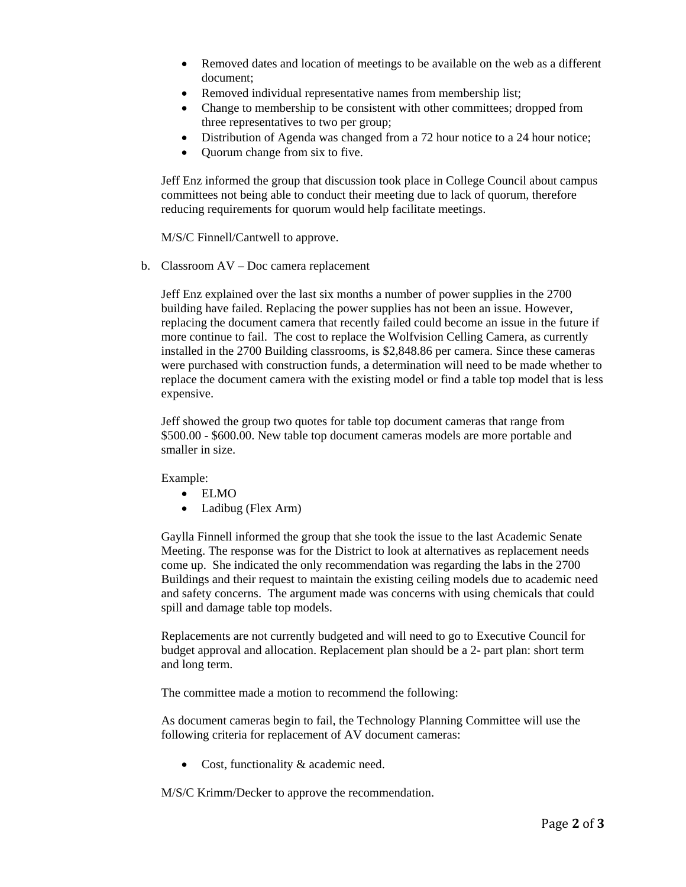- Removed dates and location of meetings to be available on the web as a different document;
- Removed individual representative names from membership list;
- Change to membership to be consistent with other committees; dropped from three representatives to two per group;
- Distribution of Agenda was changed from a 72 hour notice to a 24 hour notice;
- Quorum change from six to five.

Jeff Enz informed the group that discussion took place in College Council about campus committees not being able to conduct their meeting due to lack of quorum, therefore reducing requirements for quorum would help facilitate meetings.

M/S/C Finnell/Cantwell to approve.

b. Classroom AV – Doc camera replacement

Jeff Enz explained over the last six months a number of power supplies in the 2700 building have failed. Replacing the power supplies has not been an issue. However, replacing the document camera that recently failed could become an issue in the future if more continue to fail. The cost to replace the Wolfvision Celling Camera, as currently installed in the 2700 Building classrooms, is \$2,848.86 per camera. Since these cameras were purchased with construction funds, a determination will need to be made whether to replace the document camera with the existing model or find a table top model that is less expensive.

Jeff showed the group two quotes for table top document cameras that range from \$500.00 - \$600.00. New table top document cameras models are more portable and smaller in size.

Example:

- ELMO
- Ladibug (Flex Arm)

Gaylla Finnell informed the group that she took the issue to the last Academic Senate Meeting. The response was for the District to look at alternatives as replacement needs come up. She indicated the only recommendation was regarding the labs in the 2700 Buildings and their request to maintain the existing ceiling models due to academic need and safety concerns. The argument made was concerns with using chemicals that could spill and damage table top models.

Replacements are not currently budgeted and will need to go to Executive Council for budget approval and allocation. Replacement plan should be a 2- part plan: short term and long term.

The committee made a motion to recommend the following:

As document cameras begin to fail, the Technology Planning Committee will use the following criteria for replacement of AV document cameras:

• Cost, functionality & academic need.

M/S/C Krimm/Decker to approve the recommendation.